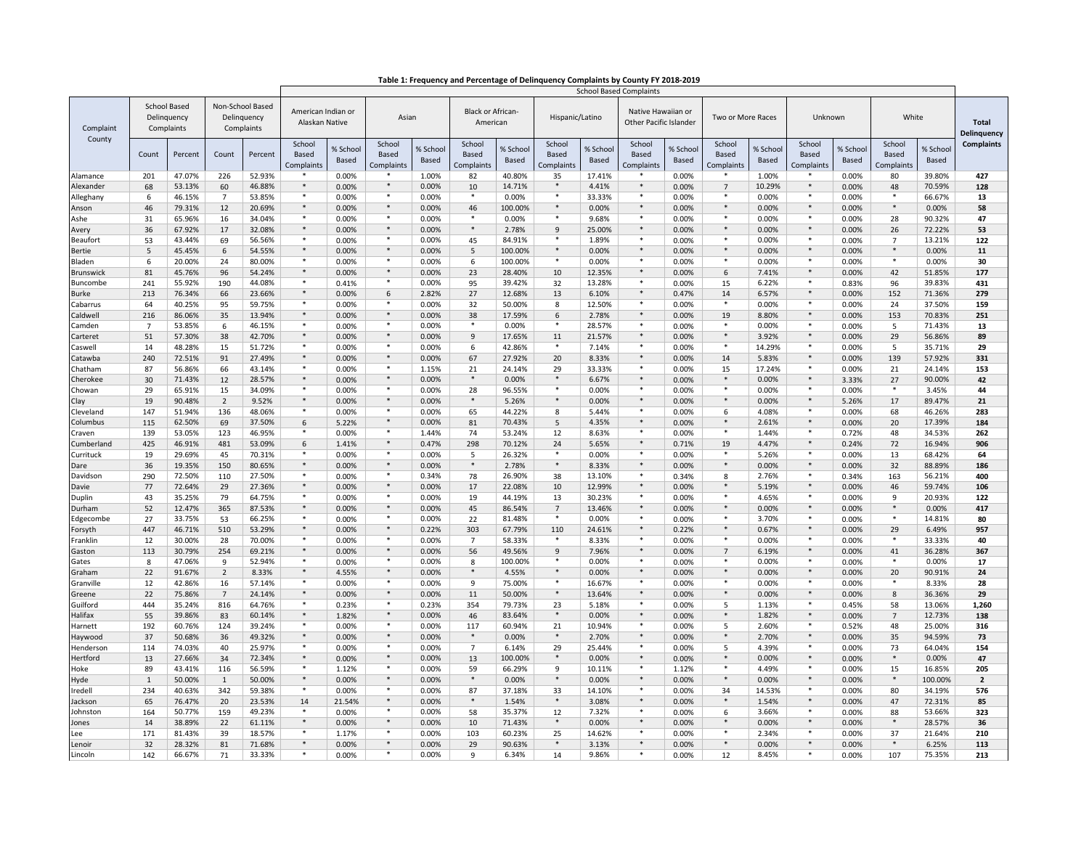|                             |                                                  |                  |                 |                                               |                               | <b>School Based Complaints</b>       |                               |                         |                                      |                          |                               |                   |                                              |                   |                                      |                   |                               |                   |                                      |                   |                             |
|-----------------------------|--------------------------------------------------|------------------|-----------------|-----------------------------------------------|-------------------------------|--------------------------------------|-------------------------------|-------------------------|--------------------------------------|--------------------------|-------------------------------|-------------------|----------------------------------------------|-------------------|--------------------------------------|-------------------|-------------------------------|-------------------|--------------------------------------|-------------------|-----------------------------|
| Complaint<br>County         | <b>School Based</b><br>Delinquency<br>Complaints |                  |                 | Non-School Based<br>Delinquency<br>Complaints |                               | American Indian or<br>Alaskan Native |                               | Asian                   | <b>Black or African-</b><br>American |                          | Hispanic/Latino               |                   | Native Hawaiian or<br>Other Pacific Islander |                   | Two or More Races                    |                   | Unknown                       |                   | White                                |                   | <b>Total</b><br>Delinquency |
|                             | Count                                            | Percent          | Count           | Percent                                       | School<br>Based<br>Complaints | % School<br>Based                    | School<br>Based<br>Complaints | % Schoo<br><b>Based</b> | School<br>Based<br>Complaints        | % School<br><b>Based</b> | School<br>Based<br>Complaints | % School<br>Based | School<br>Based<br>Complaints                | % School<br>Based | School<br><b>Based</b><br>Complaints | % School<br>Based | School<br>Based<br>Complaints | % School<br>Based | School<br>Based<br><b>Complaints</b> | % School<br>Based | <b>Complaints</b>           |
| Alamance                    | 201                                              | 47.07%           | 226             | 52.93%                                        |                               | 0.00%                                |                               | 1.00%                   | 82                                   | 40.80%                   | 35                            | 17.41%            |                                              | 0.00%             |                                      | 1.00%             |                               | 0.00%             | 80                                   | 39.80%            | 427                         |
| <b>Nexander</b>             | 68                                               | 53.13%           | 60              | 46.88%                                        | $\ast$<br>$\ast$              | 0.00%                                | $\ast$                        | 0.00%                   | 10<br>*                              | 14.71%                   | $\ast$<br>$\ast$              | 4.41%             | $\ast$<br>$\ast$                             | 0.00%             | $\overline{7}$<br>*                  | 10.29%            | *                             | 0.00%             | 48                                   | 70.59%            | 128                         |
| Alleghany                   | 6                                                | 46.15%           | $\overline{7}$  | 53.85%                                        | $\ast$                        | 0.00%                                | *<br>$\ast$                   | 0.00%                   |                                      | 0.00%                    | $\ast$                        | 33.33%            | $\star$                                      | 0.00%             | $\ast$                               | 0.00%             | $\ast$                        | 0.00%             | *<br>$\ast$                          | 66.67%            | 13                          |
| <b>Inson</b><br><b>\she</b> | 46<br>31                                         | 79.31%<br>65.96% | 12<br>16        | 20.69%<br>34.04%                              | $\ast$                        | 0.00%<br>0.00%                       |                               | 0.00%<br>0.00%          | 46<br>$\ast$                         | 100.00%<br>0.00%         | $\ast$                        | 0.00%<br>9.68%    | $\ast$                                       | 0.00%<br>0.00%    | $\ast$                               | 0.00%<br>0.00%    |                               | 0.00%<br>0.00%    | 28                                   | 0.00%<br>90.32%   | 58<br>47                    |
| <b>\very</b>                | 36                                               | 67.92%           | 17              | 32.08%                                        | $\ast$                        | 0.00%                                | $\ast$                        | 0.00%                   | $\ast$                               | 2.78%                    | $\mathsf g$                   | 25.00%            | $\ast$                                       | 0.00%             | $\ast$                               | 0.00%             | $\ast$                        | 0.00%             | 26                                   | 72.22%            | 53                          |
| eaufort                     | 53                                               | 43.44%           | 69              | 56.56%                                        | $\ast$                        | 0.00%                                | $\ast$                        | 0.00%                   | 45                                   | 84.91%                   | *                             | 1.89%             | $\ast$                                       | 0.00%             | $*$                                  | 0.00%             | $*$                           | 0.00%             | $\overline{7}$                       | 13.21%            | 122                         |
| Bertie                      | 5                                                | 45.45%           | 6               | 54.55%                                        | $\ast$                        | 0.00%                                | $\ast$                        | 0.00%                   | 5                                    | 100.00%                  | $\ast$                        | 0.00%             | $\ast$                                       | 0.00%             | $\ast$                               | 0.00%             | $\ast$                        | 0.00%             | $\ast$                               | 0.00%             | 11                          |
| 3laden                      | 6                                                | 20.00%           | 24              | 80.00%                                        | $\ast$                        | 0.00%                                | $\ast$                        | 0.00%                   | 6                                    | 100.00%                  | $\ast$                        | 0.00%             | $\ast$                                       | 0.00%             | $\ast$                               | 0.00%             | $*$                           | 0.00%             | $\ast$                               | 0.00%             | 30                          |
| 3runswick                   | 81                                               | 45.76%           | 96              | 54.24%                                        | $\ast$                        | 0.00%                                |                               | 0.00%                   | 23                                   | 28.40%                   | 10                            | 12.35%            | $\ast$                                       | 0.00%             | 6                                    | 7.41%             |                               | 0.00%             | 42                                   | 51.85%            | 177                         |
| <b>Buncombe</b>             | 241                                              | 55.92%           | 190             | 44.08%                                        | $\ast$                        | 0.41%                                | $\ast$                        | 0.00%                   | 95                                   | 39.42%                   | 32                            | 13.28%            | $\ast$                                       | 0.00%             | 15                                   | 6.22%             | *                             | 0.83%             | 96                                   | 39.83%            | 431                         |
| urke                        | 213                                              | 76.34%           | 66              | 23.66%                                        | $*$                           | 0.00%                                | 6                             | 2.82%                   | 27                                   | 12.68%                   | 13                            | 6.10%             | $\ast$                                       | 0.47%             | 14                                   | 6.57%             | $*$                           | 0.00%             | 152                                  | 71.36%            | 279                         |
| `abarrus                    | 64                                               | 40.25%           | 95              | 59.75%                                        | $\ast$                        | 0.00%                                |                               | 0.00%                   | 32                                   | 50.00%                   | 8                             | 12.50%            | $\ast$                                       | 0.00%             |                                      | 0.00%             |                               | 0.00%             | 24                                   | 37.50%            | 159                         |
| aldwell.                    | 216                                              | 86.06%           | 35              | 13.94%                                        | $\ast$                        | 0.00%                                | $\ast$                        | 0.00%                   | 38                                   | 17.59%                   | 6                             | 2.78%             | $\ast$                                       | 0.00%             | 19                                   | 8.80%             | $*$                           | 0.00%             | 153                                  | 70.83%            | 251                         |
| Camden                      | $\overline{7}$                                   | 53.85%           | 6               | 46.15%                                        | $\ast$                        | 0.00%                                | $\ast$<br>$*$                 | 0.00%                   | $\ast$                               | 0.00%                    | $\ast$                        | 28.57%            | $\ast$<br>$\ast$                             | 0.00%             | $\ast$<br>$\ast$                     | 0.00%             | $\ast$                        | 0.00%             | 5                                    | 71.43%            | 13                          |
| Carteret                    | 51                                               | 57.30%           | 38              | 42.70%                                        | $\ast$<br>$\ast$              | 0.00%                                | $\overline{\ast}$             | 0.00%                   | 9                                    | 17.65%                   | 11                            | 21.57%            | $\star$                                      | 0.00%             | $\star$                              | 3.92%             | $\ast$                        | 0.00%             | 29                                   | 56.86%            | 89                          |
| Caswell<br>`atawba          | 14<br>240                                        | 48.28%<br>72.51% | 15<br>91        | 51.72%<br>27.49%                              | $\ast$                        | 0.00%<br>0.00%                       | $\ast$                        | 0.00%<br>0.00%          | 6<br>67                              | 42.86%<br>27.92%         | 20                            | 7.14%<br>8.33%    | $\ast$                                       | 0.00%<br>0.00%    | 14                                   | 14.29%<br>5.83%   |                               | 0.00%<br>0.00%    | 5<br>139                             | 35.71%<br>57.92%  | 29<br>331                   |
| Chatham                     | 87                                               | 56.86%           | 66              | 43.14%                                        | $\ast$                        | 0.00%                                | $\ast$                        | 1.15%                   | 21                                   | 24.14%                   | 29                            | 33.33%            | $\ast$                                       | 0.00%             | 15                                   | 17.24%            | *                             | 0.00%             | 21                                   | 24.14%            | 153                         |
| Cherokee                    | 30                                               | 71.43%           | 12              | 28.57%                                        | $*$                           | 0.00%                                | $*$                           | 0.00%                   | $\ast$                               | 0.00%                    | $\ast$                        | 6.67%             | $\ast$                                       | 0.00%             | $*$                                  | 0.00%             | $*$                           | 3.33%             | 27                                   | 90.00%            | 42                          |
| `howan                      | 29                                               | 65.91%           | 15              | 34.09%                                        | $\ast$                        | 0.00%                                | *                             | 0.00%                   | 28                                   | 96.55%                   | *                             | 0.00%             | $\ast$                                       | 0.00%             | $\ast$                               | 0.00%             | *                             | 0.00%             | *                                    | 3.45%             | 44                          |
| :lay                        | 19                                               | 90.48%           | $\overline{2}$  | 9.52%                                         | $\ast$                        | 0.00%                                | $\ast$                        | 0.00%                   | $\ast$                               | 5.26%                    | $\ast$                        | 0.00%             | $\ast$                                       | 0.00%             | $\ast$                               | 0.00%             | $\ast$                        | 5.26%             | 17                                   | 89.47%            | 21                          |
| Cleveland                   | 147                                              | 51.94%           | 136             | 48.06%                                        | $\ast$                        | 0.00%                                | $*$                           | 0.00%                   | 65                                   | 44.22%                   | 8                             | 5.44%             | $\ast$                                       | 0.00%             | 6                                    | 4.08%             |                               | 0.00%             | 68                                   | 46.26%            | 283                         |
| Columbus                    | 115                                              | 62.50%           | 69              | 37.50%                                        | 6                             | 5.22%                                | $\ast$                        | 0.00%                   | 81                                   | 70.43%                   | 5                             | 4.35%             | $\ast$                                       | 0.00%             | $\ast$                               | 2.61%             | $\ast$                        | 0.00%             | 20                                   | 17.39%            | 184                         |
| Craven                      | 139                                              | 53.05%           | 123             | 46.95%                                        | $\ast$                        | 0.00%                                | $\ast$                        | 1.44%                   | 74                                   | 53.24%                   | 12                            | 8.63%             | $\star$                                      | 0.00%             | $\ast$                               | 1.44%             | $\ast$                        | 0.72%             | 48                                   | 34.53%            | 262                         |
| Cumberland                  | 425                                              | 46.91%           | 481             | 53.09%                                        | 6                             | 1.41%                                | *                             | 0.47%                   | 298                                  | 70.12%                   | 24                            | 5.65%             | $\ast$                                       | 0.71%             | 19                                   | 4.47%             | *                             | 0.24%             | 72                                   | 16.94%            | 906                         |
| Currituck                   | 19                                               | 29.69%           | 45              | 70.31%                                        | $\ast$                        | 0.00%                                | $*$                           | 0.00%                   | 5                                    | 26.32%                   | $\ast$<br>$*$                 | 0.00%             | $\ast$<br>$\ast$                             | 0.00%             | $*$                                  | 5.26%             | $\ast$                        | 0.00%             | 13                                   | 68.42%            | 64                          |
| Dare                        | 36                                               | 19.35%           | 150             | 80.65%                                        | $*$<br>$\ast$                 | 0.00%                                | $*$<br>*                      | 0.00%                   | $\ast$                               | 2.78%                    |                               | 8.33%             | $\ast$                                       | 0.00%             |                                      | 0.00%             | $*$<br>*                      | 0.00%             | 32                                   | 88.89%            | 186                         |
| Davidson                    | 290                                              | 72.50%           | 110             | 27.50%                                        | $\ast$                        | 0.00%                                | $*$                           | 0.34%                   | 78                                   | 26.90%                   | 38                            | 13.10%            | $\ast$                                       | 0.34%             | 8<br>$*$                             | 2.76%             |                               | 0.34%             | 163                                  | 56.21%            | 400                         |
| avie                        | 77<br>43                                         | 72.64%<br>35.25% | 29<br>79        | 27.36%<br>64.75%                              | $\ast$                        | 0.00%<br>0.00%                       |                               | 0.00%<br>0.00%          | 17<br>19                             | 22.08%<br>44.19%         | 10<br>13                      | 12.99%<br>30.23%  | $\ast$                                       | 0.00%<br>0.00%    | $\ast$                               | 5.19%<br>4.65%    |                               | 0.00%<br>0.00%    | 46<br>9                              | 59.74%<br>20.93%  | 106<br>122                  |
| Duplin<br><b>Jurham</b>     | 52                                               | 12.47%           | 365             | 87.53%                                        | $\ast$                        | 0.00%                                | $*$                           | 0.00%                   | 45                                   | 86.54%                   | $\overline{7}$                | 13.46%            | $\ast$                                       | 0.00%             | $\ast$                               | 0.00%             | $\ast$                        | 0.00%             | $\ast$                               | 0.00%             | 417                         |
| dgecombe                    | 27                                               | 33.75%           | 53              | 66.25%                                        | $\ast$                        | 0.00%                                | $*$                           | 0.00%                   | 22                                   | 81.48%                   | $\ast$                        | 0.00%             | $\ast$                                       | 0.00%             | $\ast$                               | 3.70%             | $*$                           | 0.00%             | $\ast$                               | 14.81%            | 80                          |
| orsyth                      | 447                                              | 46.71%           | 510             | 53.29%                                        | $\ast$                        | 0.00%                                | $\ast$                        | 0.22%                   | 303                                  | 67.79%                   | 110                           | 24.61%            | $\ast$                                       | 0.22%             | $\ast$                               | 0.67%             | $*$                           | 0.00%             | 29                                   | 6.49%             | 957                         |
| ∙ranklin                    | 12                                               | 30.00%           | 28              | 70.00%                                        | $\ast$                        | 0.00%                                | $\ast$                        | 0.00%                   | $\overline{7}$                       | 58.33%                   |                               | 8.33%             | $\ast$                                       | 0.00%             | $\ast$                               | 0.00%             | $\ast$                        | 0.00%             | $\ast$                               | 33.33%            | 40                          |
| Gaston                      | 113                                              | 30.79%           | 254             | 69.21%                                        | $\ast$                        | 0.00%                                | $*$                           | 0.00%                   | 56                                   | 49.56%                   | $\overline{9}$                | 7.96%             | $\ast$                                       | 0.00%             | $\overline{7}$                       | 6.19%             | $*$                           | 0.00%             | 41                                   | 36.28%            | 367                         |
| Gates                       | 8                                                | 47.06%           | 9               | 52.94%                                        | *                             | 0.00%                                | 半                             | 0.00%                   | 8                                    | 100.00%                  | *                             | 0.00%             | $\ast$                                       | 0.00%             | *                                    | 0.00%             | *                             | 0.00%             | *                                    | 0.00%             | 17                          |
| Graham                      | 22                                               | 91.67%           | $\overline{2}$  | 8.33%                                         | $\ast$                        | 4.55%                                | $*$                           | 0.00%                   | $\ast$                               | 4.55%                    | $*$                           | 0.00%             | $\ast$                                       | 0.00%             | $*$                                  | 0.00%             | $\ast$                        | 0.00%             | 20                                   | 90.91%            | 24                          |
| Granville                   | 12                                               | 42.86%           | 16              | 57.14%                                        | $\ast$<br>$\ast$              | 0.00%                                | $\ast$                        | 0.00%                   | 9                                    | 75.00%                   | $\ast$<br>$\ast$              | 16.67%            | $\ast$<br>$\ast$                             | 0.00%             | $\ast$<br>$\ast$                     | 0.00%             | $\ast$                        | 0.00%             |                                      | 8.33%             | 28                          |
| Greene                      | 22                                               | 75.86%           | $7\overline{ }$ | 24.14%                                        | $\ast$                        | 0.00%                                | $*$                           | 0.00%                   | 11                                   | 50.00%                   |                               | 13.64%            | $\ast$                                       | 0.00%             |                                      | 0.00%             | $\ast$                        | 0.00%             | 8                                    | 36.36%            | 29                          |
| Guilford                    | 444                                              | 35.24%           | 816             | 64.76%                                        | $\ast$                        | 0.23%                                | *                             | 0.23%                   | 354                                  | 79.73%                   | 23<br>$*$                     | 5.18%<br>0.00%    | $\ast$                                       | 0.00%             | 5<br>$\ast$                          | 1.13%<br>1.82%    | $\ast$                        | 0.45%             | 58                                   | 13.06%            | 1,260                       |
| Halifax<br>larnett          | 55<br>192                                        | 39.86%<br>60.76% | 83<br>124       | 60.14%<br>39.24%                              | $\ast$                        | 1.82%<br>0.00%                       | $\ast$                        | 0.00%<br>0.00%          | 46<br>117                            | 83.64%<br>60.94%         | 21                            | 10.94%            | $\ast$                                       | 0.00%<br>0.00%    | 5                                    | 2.60%             | $\ast$                        | 0.00%<br>0.52%    | $\overline{7}$<br>48                 | 12.73%<br>25.00%  | 138<br>316                  |
| Haywood                     | 37                                               | 50.68%           | 36              | 49.32%                                        | $\ast$                        | 0.00%                                | $\ast$                        | 0.00%                   | $\ast$                               | 0.00%                    | $\ast$                        | 2.70%             | $\ast$                                       | 0.00%             | $*$                                  | 2.70%             | $\ast$                        | 0.00%             | 35                                   | 94.59%            | 73                          |
| lenderson                   | 114                                              | 74.03%           | 40              | 25.97%                                        | $\ast$                        | 0.00%                                | *                             | 0.00%                   | $\overline{7}$                       | 6.14%                    | 29                            | 25.44%            | $\ast$                                       | 0.00%             | 5                                    | 4.39%             | *                             | 0.00%             | 73                                   | 64.04%            | 154                         |
| lertford                    | 13                                               | 27.66%           | 34              | 72.34%                                        | $*$                           | 0.00%                                | $\ast$                        | 0.00%                   | 13                                   | 100.00%                  | $\ast$                        | 0.00%             | $\ast$                                       | 0.00%             | $\ast$                               | 0.00%             | $\ast$                        | 0.00%             | $\ast$                               | 0.00%             | 47                          |
| loke                        | 89                                               | 43.41%           | 116             | 56.59%                                        | $\ast$                        | 1.12%                                |                               | 0.00%                   | 59                                   | 66.29%                   | 9                             | 10.11%            | $\ast$                                       | 1.12%             | $\ast$                               | 4.49%             |                               | 0.00%             | 15                                   | 16.85%            | 205                         |
| łyde                        | $\mathbf 1$                                      | 50.00%           | $\mathbf{1}$    | 50.00%                                        | $\ast$                        | 0.00%                                | $\ast$                        | 0.00%                   | $\ast$                               | 0.00%                    | $\ast$                        | 0.00%             | $\ast$                                       | 0.00%             | $\ast$                               | 0.00%             | $\ast$                        | 0.00%             | $\ast$                               | 100.00%           | $\overline{\mathbf{2}}$     |
| redell                      | 234                                              | 40.63%           | 342             | 59.38%                                        | $\ast$                        | 0.00%                                | $\ast$                        | 0.00%                   | 87                                   | 37.18%                   | 33                            | 14.10%            | $\ast$                                       | 0.00%             | 34                                   | 14.53%            | $*$                           | 0.00%             | 80                                   | 34.19%            | 576                         |
| ackson                      | 65                                               | 76.47%           | 20              | 23.53%                                        | 14                            | 21.54%                               | $\ast$                        | 0.00%                   | $\ast$                               | 1.54%                    | $\ast$                        | 3.08%             | $\ast$                                       | 0.00%             | $\ast$                               | 1.54%             | $\ast$                        | 0.00%             | 47                                   | 72.31%            | 85                          |
| ohnstor                     | 164                                              | 50.77%           | 159             | 49.23%                                        | *                             | 0.00%                                | $\ast$                        | 0.00%                   | 58                                   | 35.37%                   | 12                            | 7.32%             | $\ast$                                       | 0.00%             | 6                                    | 3.66%             | $*$                           | 0.00%             | 88                                   | 53.66%            | 323                         |
| ones                        | $14\,$                                           | 38.89%           | 22              | 61.11%                                        |                               | 0.00%                                | *                             | 0.00%                   | 10                                   | 71.43%                   | $\ast$                        | 0.00%             | *                                            | 0.00%             | $*$                                  | 0.00%             |                               | 0.00%             |                                      | 28.57%            | 36                          |
| ee                          | 171                                              | 81.43%           | 39              | 18.57%                                        | $\ast$<br>$\ast$              | 1.17%                                | $\ast$                        | 0.00%                   | 103                                  | 60.23%                   | 25<br>$*$                     | 14.62%            | $\ast$                                       | 0.00%             | $\ast$                               | 2.34%             | $\ast$                        | 0.00%             | 37<br>$\ast$                         | 21.64%            | 210                         |
| enoir                       | 32                                               | 28.32%           | 81              | 71.68%                                        | $\ast$                        | 0.00%                                |                               | 0.00%                   | 29<br>9                              | 90.63%                   |                               | 3.13%             |                                              | 0.00%             |                                      | 0.00%             |                               | 0.00%             | 107                                  | 6.25%             | 113<br>213                  |
| .incoln                     | 142                                              | 66.67%           | 71              | 33.33%                                        |                               | 0.00%                                |                               | 0.00%                   |                                      | 6.34%                    | 14                            | 9.86%             |                                              | 0.00%             | 12                                   | 8.45%             |                               | 0.00%             |                                      | 75.35%            |                             |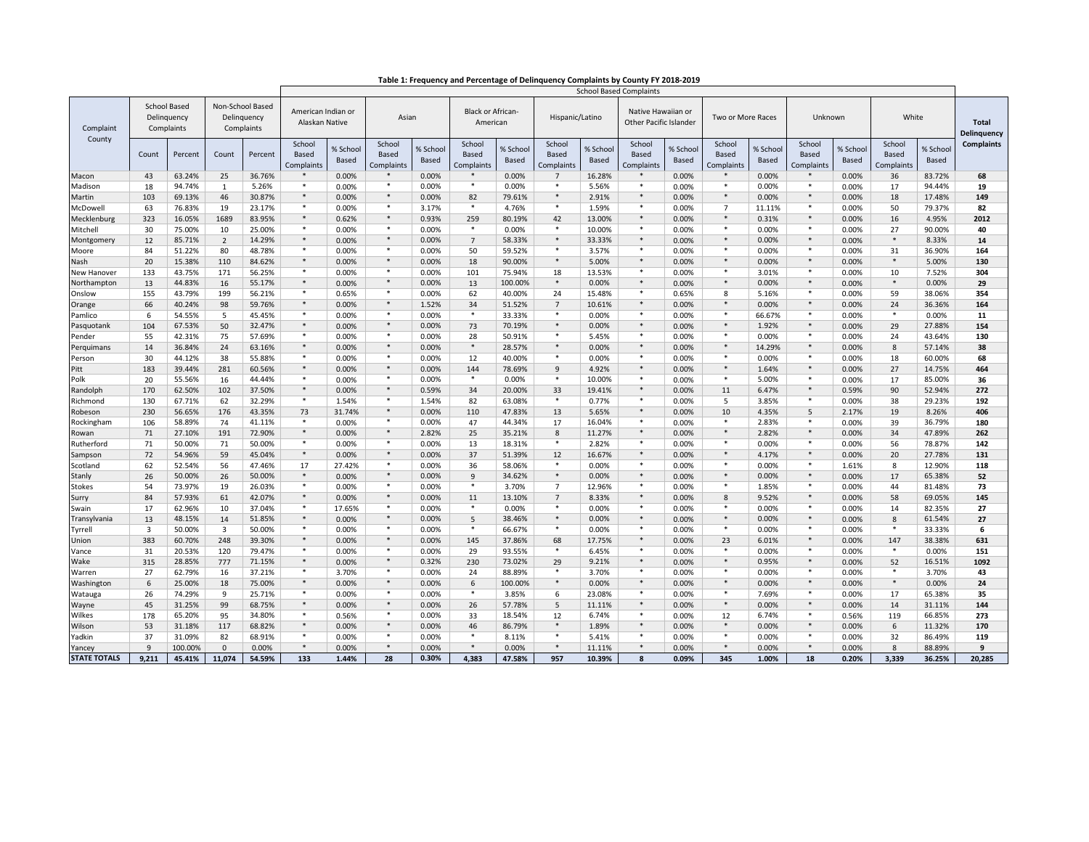| Table 1: Frequency and Percentage of Delinquency Complaints by County FY 2018-2019 |
|------------------------------------------------------------------------------------|
|------------------------------------------------------------------------------------|

|                     |                                                  |         |                |         | <b>School Based Complaints</b>                |                   |                                      |                   |                               |                   |                                      |                   |                               |                   |                                                     |                   |                               |                   |                               |                   |                   |  |                      |
|---------------------|--------------------------------------------------|---------|----------------|---------|-----------------------------------------------|-------------------|--------------------------------------|-------------------|-------------------------------|-------------------|--------------------------------------|-------------------|-------------------------------|-------------------|-----------------------------------------------------|-------------------|-------------------------------|-------------------|-------------------------------|-------------------|-------------------|--|----------------------|
| Complaint<br>County | <b>School Based</b><br>Delinquency<br>Complaints |         |                |         | Non-School Based<br>Delinquency<br>Complaints |                   | American Indian or<br>Alaskan Native |                   | Asian                         |                   | <b>Black or African-</b><br>American |                   | Hispanic/Latino               |                   | Native Hawaiian or<br><b>Other Pacific Islander</b> |                   | Two or More Races             |                   | Unknown                       |                   | White             |  | Total<br>Delinquency |
|                     | Count                                            | Percent | Count          | Percent | School<br>Based<br>Complaints                 | % School<br>Based | School<br>Based<br>Complaints        | % School<br>Based | School<br>Based<br>Complaints | % School<br>Based | School<br><b>Based</b><br>Complaints | % School<br>Based | School<br>Based<br>Complaints | % School<br>Based | School<br>Based<br>Complaints                       | % School<br>Based | School<br>Based<br>Complaints | % School<br>Based | School<br>Based<br>Complaint: | % School<br>Based | <b>Complaints</b> |  |                      |
| Macon               | 43                                               | 63.24%  | 25             | 36.76%  | $\ast$                                        | 0.00%             | $\ast$                               | 0.00%             | $\ast$                        | 0.00%             | $7^{\circ}$                          | 16.28%            | $\ast$                        | 0.00%             | $\ast$                                              | 0.00%             | $\ast$                        | 0.00%             | 36                            | 83.72%            | 68                |  |                      |
| Madison             | 18                                               | 94.74%  | $\mathbf{1}$   | 5.26%   | $\ast$                                        | 0.00%             | $\ast$                               | 0.00%             | *                             | 0.00%             | $*$                                  | 5.56%             | $\ast$                        | 0.00%             | $*$                                                 | 0.00%             | *                             | 0.00%             | 17                            | 94.44%            | 19                |  |                      |
| Martin              | 103                                              | 69.13%  | 46             | 30.87%  | $\ast$                                        | 0.00%             | $\ast$                               | 0.00%             | 82                            | 79.61%            | $\ast$                               | 2.91%             | $\ast$                        | 0.00%             | $\ast$                                              | 0.00%             | $\ast$                        | 0.00%             | 18                            | 17.48%            | 149               |  |                      |
| McDowell            | 63                                               | 76.83%  | 19             | 23.17%  | $\ast$                                        | 0.00%             | $\ast$                               | 3.17%             | $\star$                       | 4.76%             | $\ast$                               | 1.59%             | $\ast$                        | 0.00%             | $\overline{7}$                                      | 11.11%            | $\ast$                        | 0.00%             | 50                            | 79.37%            | 82                |  |                      |
| Mecklenburg         | 323                                              | 16.05%  | 1689           | 83.95%  | $\ast$                                        | 0.62%             | $\ast$                               | 0.93%             | 259                           | 80.19%            | 42                                   | 13.00%            | $\ast$                        | 0.00%             | $\ast$                                              | 0.31%             | $\ast$                        | 0.00%             | 16                            | 4.95%             | 2012              |  |                      |
| Mitchell            | 30                                               | 75.00%  | 10             | 25.00%  | $\ast$                                        | 0.00%             | $*$                                  | 0.00%             | *                             | 0.00%             | $*$                                  | 10.00%            | $\ast$                        | 0.00%             | $*$                                                 | 0.00%             | $\ast$                        | 0.00%             | 27                            | 90.00%            | 40                |  |                      |
| Montgomery          | 12                                               | 85.71%  | $\overline{2}$ | 14.29%  | $\ast$                                        | 0.00%             | $\ast$                               | 0.00%             | $\overline{7}$                | 58.33%            | $\ast$                               | 33.33%            | $\ast$                        | 0.00%             | $\ast$                                              | 0.00%             | $\ast$                        | 0.00%             | $\ast$                        | 8.33%             | 14                |  |                      |
| Moore               | 84                                               | 51.22%  | 80             | 48.78%  | $\ast$                                        | 0.00%             | $\ast$                               | 0.00%             | 50                            | 59.52%            | $\ast$                               | 3.57%             | $\ast$                        | 0.00%             | $\ast$                                              | 0.00%             | $\ast$                        | 0.00%             | 31                            | 36.90%            | 164               |  |                      |
| Nash                | 20                                               | 15.38%  | 110            | 84.62%  | $\ast$                                        | 0.00%             | $\ast$                               | 0.00%             | 18                            | 90.00%            | $\ast$                               | 5.00%             | $\ast$                        | 0.00%             | $\ast$                                              | 0.00%             | $\ast$                        | 0.00%             | $\ast$                        | 5.00%             | 130               |  |                      |
| New Hanover         | 133                                              | 43.75%  | 171            | 56.25%  | $\ast$                                        | 0.00%             | $\ast$                               | 0.00%             | 101                           | 75.94%            | 18                                   | 13.53%            | $\ast$                        | 0.00%             | $\ast$                                              | 3.01%             | $\ast$                        | 0.00%             | 10                            | 7.52%             | 304               |  |                      |
| Northampton         | 13                                               | 44.83%  | 16             | 55.17%  | $\ast$                                        | 0.00%             | $\ast$                               | 0.00%             | 13                            | 100.00%           | $\ast$                               | 0.00%             | $\ast$                        | 0.00%             | $\ast$                                              | 0.00%             | $\ast$                        | 0.00%             | $\ast$                        | 0.00%             | 29                |  |                      |
| Onslow              | 155                                              | 43.79%  | 199            | 56.21%  | $\ast$                                        | 0.65%             | $*$                                  | 0.00%             | 62                            | 40.00%            | 24                                   | 15.48%            | $\ast$                        | 0.65%             | 8                                                   | 5.16%             | $\ast$                        | 0.00%             | 59                            | 38.06%            | 354               |  |                      |
| Orange              | 66                                               | 40.24%  | 98             | 59.76%  | $\ast$                                        | 0.00%             | $*$                                  | 1.52%             | 34                            | 51.52%            | $\overline{7}$                       | 10.61%            | $\ast$                        | 0.00%             | $\ast$                                              | 0.00%             | $\ast$                        | 0.00%             | 24                            | 36.36%            | 164               |  |                      |
| Pamlico             | 6                                                | 54.55%  | 5              | 45.45%  | $\ast$                                        | 0.00%             | $\ast$                               | 0.00%             | $\ast$                        | 33.33%            | $\ast$                               | 0.00%             | $\ast$                        | 0.00%             | $\ast$                                              | 66.67%            | $\ast$                        | 0.00%             | $\ast$                        | 0.00%             | 11                |  |                      |
| Pasquotank          | 104                                              | 67.53%  | 50             | 32.47%  | $\ast$                                        | 0.00%             | $\ast$                               | 0.00%             | 73                            | 70.19%            | $\ast$                               | 0.00%             | $\ast$                        | 0.00%             | $\ast$                                              | 1.92%             | $\ast$                        | 0.00%             | 29                            | 27.88%            | 154               |  |                      |
| Pender              | 55                                               | 42.31%  | 75             | 57.69%  | $\ast$                                        | 0.00%             | $\ast$                               | 0.00%             | 28                            | 50.91%            | $\ast$                               | 5.45%             | $\ast$                        | 0.00%             | $\ast$                                              | 0.00%             | $\ast$                        | 0.00%             | 24                            | 43.64%            | 130               |  |                      |
| Perguimans          | 14                                               | 36.84%  | 24             | 63.16%  | $\ast$                                        | 0.00%             | $\ast$                               | 0.00%             | $\ast$                        | 28.57%            | $*$                                  | 0.00%             | $\ast$                        | 0.00%             | $*$                                                 | 14.29%            | $\ast$                        | 0.00%             | 8                             | 57.14%            | 38                |  |                      |
| Person              | 30                                               | 44.12%  | 38             | 55.88%  | $\ast$                                        | 0.00%             | $*$                                  | 0.00%             | 12                            | 40.00%            | $*$                                  | 0.00%             | $\ast$                        | 0.00%             | $*$                                                 | 0.00%             | $\ast$                        | 0.00%             | 18                            | 60.00%            | 68                |  |                      |
| Pitt                | 183                                              | 39.44%  | 281            | 60.56%  | $\ast$                                        | 0.00%             | $\ast$                               | 0.00%             | 144                           | 78.69%            | 9                                    | 4.92%             | $\ast$                        | 0.00%             | $\ast$                                              | 1.64%             | $\ast$                        | 0.00%             | 27                            | 14.75%            | 464               |  |                      |
| Polk                | 20                                               | 55.56%  | 16             | 44.44%  | $\ast$                                        | 0.00%             | $\ast$                               | 0.00%             | $\ast$                        | 0.00%             | $\ast$                               | 10.00%            | $\ast$                        | 0.00%             | $\ast$                                              | 5.00%             | $\ast$                        | 0.00%             | 17                            | 85.00%            | 36                |  |                      |
| Randolph            | 170                                              | 62.50%  | 102            | 37.50%  | $\ast$                                        | 0.00%             | $\ast$                               | 0.59%             | 34                            | 20.00%            | 33                                   | 19.41%            | $\ast$                        | 0.00%             | 11                                                  | 6.47%             | $\ast$                        | 0.59%             | 90                            | 52.94%            | 272               |  |                      |
| Richmond            | 130                                              | 67.71%  | 62             | 32.29%  | $\ast$                                        | 1.54%             | $\ast$                               | 1.54%             | 82                            | 63.08%            | $\ast$                               | 0.77%             | $\ast$                        | 0.00%             | - 5                                                 | 3.85%             | $\ast$                        | 0.00%             | 38                            | 29.23%            | 192               |  |                      |
| Robeson             | 230                                              | 56.65%  | 176            | 43.35%  | 73                                            | 31.74%            | $\ast$                               | 0.00%             | 110                           | 47.83%            | 13                                   | 5.65%             | $\ast$                        | 0.00%             | 10                                                  | 4.35%             | 5                             | 2.17%             | 19                            | 8.26%             | 406               |  |                      |
| Rockingham          | 106                                              | 58.89%  | 74             | 41.11%  | $\ast$                                        | 0.00%             | $*$                                  | 0.00%             | 47                            | 44.34%            | 17                                   | 16.04%            | $\ast$                        | 0.00%             | $*$                                                 | 2.83%             | $*$                           | 0.00%             | 39                            | 36.79%            | 180               |  |                      |
| Rowan               | 71                                               | 27.10%  | 191            | 72.90%  | $\ast$                                        | 0.00%             | $\ast$                               | 2.82%             | 25                            | 35.21%            | 8                                    | 11.27%            | $\ast$                        | 0.00%             | $*$                                                 | 2.82%             | $*$                           | 0.00%             | 34                            | 47.89%            | 262               |  |                      |
| Rutherford          | 71                                               | 50.00%  | 71             | 50.00%  | $\ast$                                        | 0.00%             | $*$                                  | 0.00%             | 13                            | 18.31%            | $*$                                  | 2.82%             | $\ast$                        | 0.00%             | $*$                                                 | 0.00%             | $\ast$                        | 0.00%             | 56                            | 78.87%            | 142               |  |                      |
| Sampson             | 72                                               | 54.96%  | 59             | 45.04%  | $\ast$                                        | 0.00%             | $\ast$                               | 0.00%             | 37                            | 51.39%            | 12                                   | 16.67%            | $\ast$                        | 0.00%             | $\ast$                                              | 4.17%             | $\ast$                        | 0.00%             | 20                            | 27.78%            | 131               |  |                      |
| Scotland            | 62                                               | 52.54%  | 56             | 47.46%  | 17                                            | 27.42%            | $\ast$                               | 0.00%             | 36                            | 58.06%            | $\ast$                               | 0.00%             | $\ast$                        | 0.00%             | $\ast$                                              | 0.00%             | $\ast$                        | 1.61%             | 8                             | 12.90%            | 118               |  |                      |
| Stanly              | 26                                               | 50.00%  | 26             | 50.00%  | $\ast$                                        | 0.00%             | $\ast$                               | 0.00%             | 9                             | 34.62%            | $\ast$                               | 0.00%             | $\ast$                        | 0.00%             | $\ast$                                              | 0.00%             | $\ast$                        | 0.00%             | 17                            | 65.38%            | 52                |  |                      |
| Stokes              | 54                                               | 73.97%  | 19             | 26.03%  | $\ast$                                        | 0.00%             | $*$                                  | 0.00%             | $\ast$                        | 3.70%             | $\overline{7}$                       | 12.96%            | $\ast$                        | 0.00%             | $*$                                                 | 1.85%             | $\ast$                        | 0.00%             | 44                            | 81.48%            | 73                |  |                      |
| Surry               | 84                                               | 57.93%  | 61             | 42.07%  | $\ast$                                        | 0.00%             | $*$                                  | 0.00%             | 11                            | 13.10%            | $\overline{7}$                       | 8.33%             | $\ast$                        | 0.00%             | 8                                                   | 9.52%             | $*$                           | 0.00%             | 58                            | 69.05%            | 145               |  |                      |
| Swain               | 17                                               | 62.96%  | 10             | 37.04%  | $\ast$                                        | 17.65%            | $*$                                  | 0.00%             | $\ast$                        | 0.00%             | $*$                                  | 0.00%             | $\ast$                        | 0.00%             | $*$                                                 | 0.00%             | $*$                           | 0.00%             | 14                            | 82.35%            | 27                |  |                      |
| Transylvania        | 13                                               | 48.15%  | 14             | 51.85%  | $\ast$                                        | 0.00%             | $\ast$                               | 0.00%             | 5                             | 38.46%            | $\ast$                               | 0.00%             | $\ast$                        | 0.00%             | $\ast$                                              | 0.00%             | $\ast$                        | 0.00%             | 8                             | 61.54%            | 27                |  |                      |
| Tyrrell             | $\overline{\mathbf{3}}$                          | 50.00%  | 3              | 50.00%  | $\ast$                                        | 0.00%             | $\ast$                               | 0.00%             | $\ast$                        | 66.67%            | $\ast$                               | 0.00%             | $\ast$                        | 0.00%             | $\ast$                                              | 0.00%             | $\ast$                        | 0.00%             | $\ast$                        | 33.33%            | 6                 |  |                      |
| Union               | 383                                              | 60.70%  | 248            | 39.30%  | $\ast$                                        | 0.00%             | $\ast$                               | 0.00%             | 145                           | 37.86%            | 68                                   | 17.75%            | $\ast$                        | 0.00%             | 23                                                  | 6.01%             | $\ast$                        | 0.00%             | 147                           | 38.38%            | 631               |  |                      |
| Vance               | 31                                               | 20.53%  | 120            | 79.47%  | $\ast$                                        | 0.00%             | $\ast$                               | 0.00%             | 29                            | 93.55%            | $\ast$                               | 6.45%             | $\ast$                        | 0.00%             | $\ast$                                              | 0.00%             | $\ast$                        | 0.00%             | $\ast$                        | 0.00%             | 151               |  |                      |
| Wake                | 315                                              | 28.85%  | 777            | 71.15%  | $\ast$                                        | 0.00%             | $\ast$                               | 0.32%             | 230                           | 73.02%            | 29                                   | 9.21%             | $\ast$                        | 0.00%             | $\ast$                                              | 0.95%             | $*$                           | 0.00%             | 52                            | 16.51%            | 1092              |  |                      |
| Warren              | 27                                               | 62.79%  | 16             | 37.21%  | $*$                                           | 3.70%             | $\ast$                               | 0.00%             | 24                            | 88.89%            | *                                    | 3.70%             | $\ast$                        | 0.00%             | $\ast$                                              | 0.00%             | *                             | 0.00%             | $\ast$                        | 3.70%             | 43                |  |                      |
| Washington          | 6                                                | 25.00%  | 18             | 75.00%  | $\ast$                                        | 0.00%             | $*$                                  | 0.00%             | 6                             | 100.00%           | $*$                                  | 0.00%             | $\ast$                        | 0.00%             | $*$                                                 | 0.00%             | $*$                           | 0.00%             | $\ast$                        | 0.00%             | 24                |  |                      |
| Watauga             | 26                                               | 74.29%  | 9              | 25.71%  | $\ast$                                        | 0.00%             | $\ast$                               | 0.00%             | $\ast$                        | 3.85%             | 6                                    | 23.08%            | $\ast$                        | 0.00%             | $\ast$                                              | 7.69%             | $\ast$                        | 0.00%             | 17                            | 65.38%            | 35                |  |                      |
| Wayne               | 45                                               | 31.25%  | 99             | 68.75%  | $\ast$                                        | 0.00%             | $\ast$                               | 0.00%             | 26                            | 57.78%            | 5                                    | 11.11%            | $\ast$                        | 0.00%             | $\ast$                                              | 0.00%             | $\ast$                        | 0.00%             | 14                            | 31.11%            | 144               |  |                      |
| Wilkes              | 178                                              | 65.20%  | 95             | 34.80%  | $\ast$                                        | 0.56%             | $\ast$                               | 0.00%             | 33                            | 18.54%            | 12                                   | 6.74%             | $\ast$                        | 0.00%             | 12                                                  | 6.74%             | $\ast$                        | 0.56%             | 119                           | 66.85%            | 273               |  |                      |
| Wilson              | 53                                               | 31.18%  | 117            | 68.82%  | $\ast$                                        | 0.00%             | $\ast$                               | 0.00%             | 46                            | 86.79%            | $*$                                  | 1.89%             | $\ast$                        | 0.00%             | $\ast$                                              | 0.00%             | $\ast$                        | 0.00%             | 6                             | 11.32%            | 170               |  |                      |
| Yadkin              | 37                                               | 31.09%  | 82             | 68.91%  | $\ast$                                        | 0.00%             | $\ast$                               | 0.00%             | $\ast$                        | 8.11%             | $\ast$                               | 5.41%             | $\ast$                        | 0.00%             | $*$                                                 | 0.00%             | *                             | 0.00%             | 32                            | 86.49%            | 119               |  |                      |
| Yancey              | $\overline{9}$                                   | 100.00% | $\Omega$       | 0.00%   | $\ast$                                        | 0.00%             | $*$                                  | 0.00%             | $*$                           | 0.00%             | $*$                                  | 11.11%            | $\ast$                        | 0.00%             | $*$                                                 | 0.00%             | $*$                           | 0.00%             | $\mathbf{8}$                  | 88.89%            | 9                 |  |                      |
| <b>STATE TOTALS</b> | 9,211                                            | 45.41%  | 11,074         | 54.59%  | 133                                           | 1.44%             | 28                                   | 0.30%             | 4,383                         | 47.58%            | 957                                  | 10.39%            | 8                             | 0.09%             | 345                                                 | 1.00%             | 18                            | 0.20%             | 3,339                         | 36.25%            | 20,285            |  |                      |